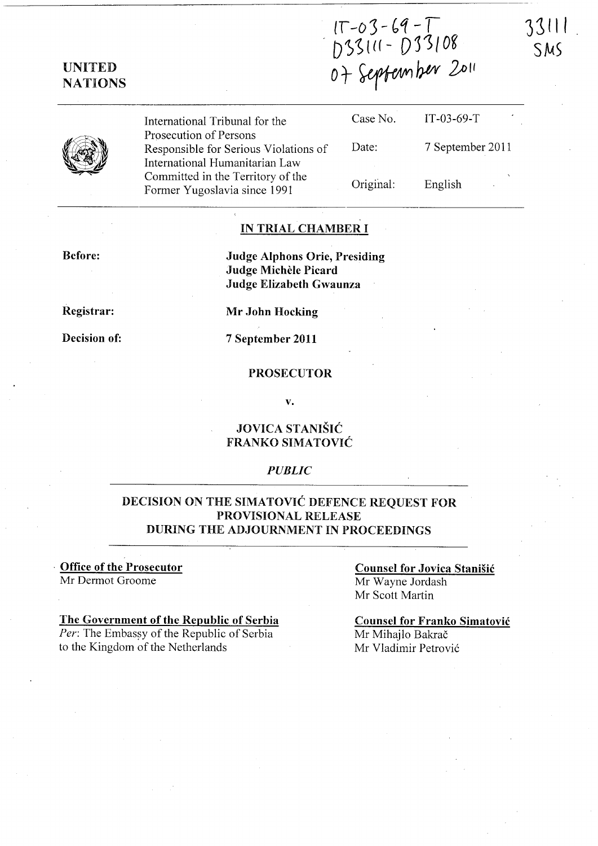r -03 - 69 - T<br>D 33111 - D 33108  $0+x$ cpternber  $201$ 



|   | International Tribunal for the                                  | Case No. | IT-0 |
|---|-----------------------------------------------------------------|----------|------|
| Y | Prosecution of Persons<br>Responsible for Serious Violations of | Date:    | 7 S  |
|   | International Humanitarian Law                                  |          |      |
|   | Committed in the Territory of the                               | .        |      |

Committed in the Territory of the Former Yugoslavia since 1991

| Case No.  | $IT-03-69-T$     |
|-----------|------------------|
| Date:     | 7 September 2011 |
| Original: | English          |

3~1' I

 $SMS$ 

### IN TRIAL CHAMBER I

Before:

Judge Alphons Orie, Presiding Judge Michele Picard Judge Elizabeth Gwaunza

Registrar:

Decision of:

Mr John Hocking

7 September 2011

#### PROSECUTOR

v.

### JOVICA STANISIC FRANKO SIMATOVIC

#### *PUBLIC*

### DECISION ON THE SIMATOVIC DEFENCE REQUEST FOR PROVISIONAL RELEASE DURING THE ADJOURNMENT IN PROCEEDINGS

#### . Office of the Prosecutor Mr Dermot Groome

## The Government of the Republic of Serbia

Per: The Embassy of the Republic of Serbia to the Kingdom of the Netherlands

Counsel for Jovica Stanisic Mr Wayne Jordash Mr Scott Martin

Counsel for Franko Simatovic Mr Mihajlo Bakrač Mr Vladimir Petrovi6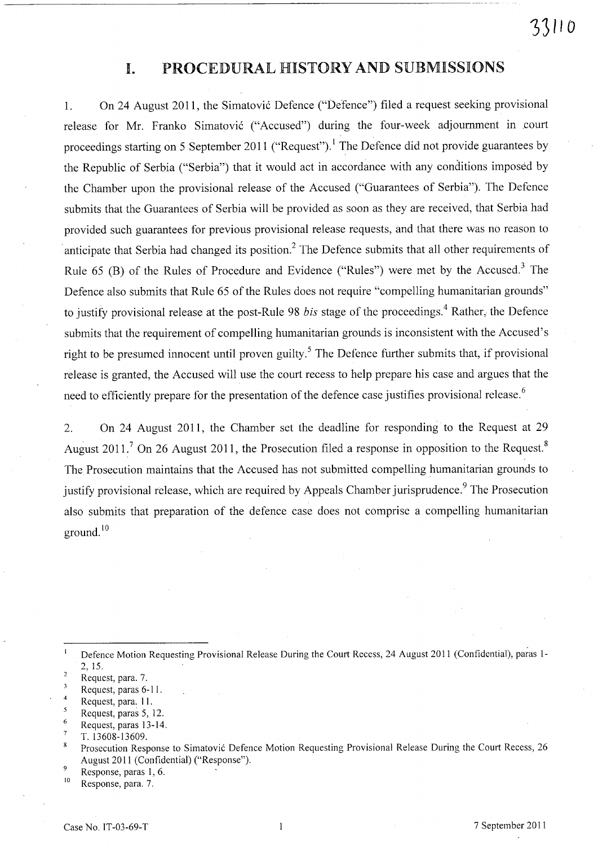## **I.** PROCEDURAL HISTORY AND SUBMISSIONS

1. On 24 August 2011, the Simatović Defence ("Defence") filed a request seeking provisional release for Mr. Franko Simatović ("Accused") during the four-week adjournment in court proceedings starting on 5 September 2011 ("Request").<sup>1</sup> The Defence did not provide guarantees by the Republic of Serbia ("Serbia") that it would act in accordance with any conditions imposed by the Chamber upon the provisional release of the Accused ("Guarantees of Serbia"). The Defence submits that the Guarantees of Serbia will be provided as soon as they are received, that Serbia had provided such guarantees for previous provisional release requests, and that there was no reason to anticipate that Serbia had changed its position.<sup>2</sup> The Defence submits that all other requirements of Rule 65 (B) of the Rules of Procedure and Evidence ("Rules") were met by the Accused.<sup>3</sup> The Defence also submits that Rule 65 of the Rules does not require "compelling humanitarian grounds" to justify provisional release at the post-Rule 98 *bis* stage of the proceedings. 4 Rather, the Defence submits that the requirement of compelling humanitarian grounds is inconsistent with the Accused's right to be presumed innocent until proven guilty.<sup>5</sup> The Defence further submits that, if provisional release is granted, the Accused will use the court recess to help prepare his case and argues that the need to efficiently prepare for the presentation of the defence case justifies provisional release.<sup>6</sup>

2. On 24 August 2011, the Chamber set the deadline for responding to the Request at 29 August 2011.<sup>7</sup> On 26 August 2011, the Prosecution filed a response in opposition to the Request.<sup>8</sup> The Prosecution maintains that the Accused has not submitted compelling humanitarian grounds to justify provisional release, which are required by Appeals Chamber jurisprudence.<sup>9</sup> The Prosecution also submits that preparation of the defence case does not comprise a compelling humanitarian ground. 10

 $10$  Response, para. 7.

Defence Motion Requesting Provisional Release During the Court Recess, 24 August 2011 (Confidential), paras 1- 2, 15.

 $\overline{a}$ Request, para. 7.

Request, paras 6-11.

<sup>4</sup>  Request, para: 11.

Request, paras 5, 12.

Request, paras 13-14.

T. 13608-13609.

Prosecution Response to Simatović Defence Motion Requesting Provisional Release During the Court Recess, 26 August 2011 (Confidential) ("Response").

<sup>9</sup>  Response, paras 1, 6.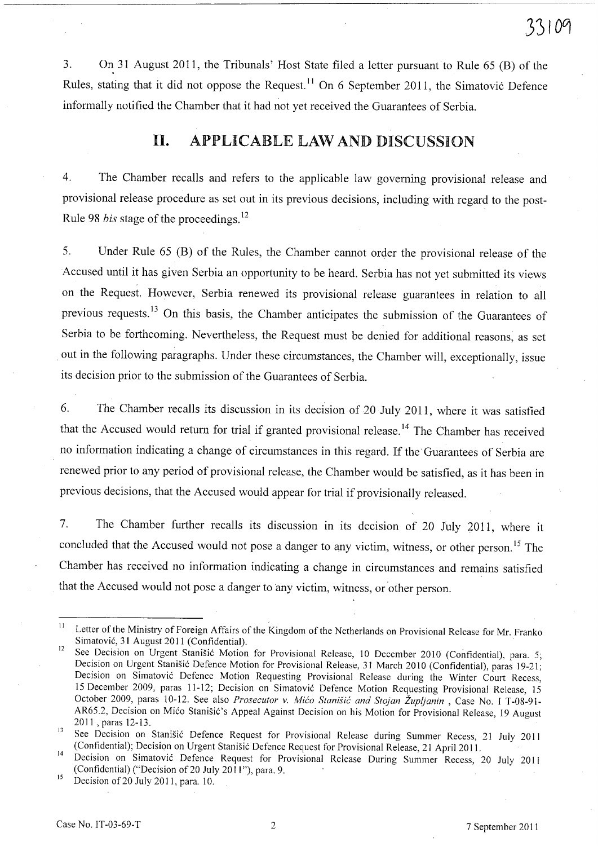3. On 31 August 2011, the Tribunals' Host State filed a letter pursuant to Rule 65 (B) of the Rules, stating that it did not oppose the Request.<sup>11</sup> On 6 September 2011, the Simatović Defence informally notified the Chamber that it had not yet received the Guarantees of Serbia.

## **11.** APPLICABLE LAW AND DISCUSSION

4. The Chamber recalls and refers to the applicable law governing provisional release and provisional release procedure as set out in its previous decisions, including with regard to the post-Rule 98 *bis* stage of the proceedings. <sup>12</sup>

5. Under Rule 65 (B) of the Rules, the Chamber cannot order the provisional release of the Accused until it has given Serbia an opportunity to be heard. Serbia has not yet submitted its views on the Request. However, Serbia renewed its provisional release guarantees in relation to all previous requests.<sup>13</sup> On this basis, the Chamber anticipates the submission of the Guarantees of Serbia to be forthcoming. Nevertheless, the Request must be denied for additional reasons, as set out in the following paragraphs. Under these circumstances, the Chamber will, exceptionally, issue its decision prior to the submission of the Guarantees of Serbia.

6. The Chamber recalls its discussion in its decision of 20 July 2011, where it was satisfied that the Accused would return for trial if granted provisional release.<sup>14</sup> The Chamber has received no information indicating a change of circumstances in this regard. If the Guarantees of Serbia are renewed prior to any period of provisional release, the Chamber would be satisfied, as it has been in previous decisions, that the Accused would appear for trial if provisionally released.

7. The Chamber further recalls its discussion in its decision of 20 July 2011, where it concluded that the Accused would not pose a danger to any victim, witness, or other person.<sup>15</sup> The Chamber has received no information indicating a change in circumstances and remains satisfied that the Accused would not pose a danger to any victim, witness, or other person.

<sup>&</sup>lt;sup>11</sup> Letter of the Ministry of Foreign Affairs of the Kingdom of the Netherlands on Provisional Release for Mr. Franko Simatović, 31 August 2011 (Confidential).

<sup>12</sup> See Decision on Urgent Stanišić Motion for Provisional Release, 10 December 2010 (Confidential), para. 5; Decision on Urgent Stanišić Defence Motion for Provisional Release, 31 March 2010 (Confidential), paras 19-21; Decision on Simatovi6 Defence Motion Requesting Provisional Release during the Winter Court Recess, 15 December 2009, paras 11-12; Decision on Simatovi6 Defence Motion Requesting Provisional Release, 15 October 2009, paras 10-12. See also *Prosecutor v. Mico Stanisic and Stojan Zupljanin* , Case No. I T-08-91- AR65.2, Decision on Mićo Stanišić's Appeal Against Decision on his Motion for Provisional Release, 19 August 2011, paras 12-13.

<sup>&</sup>lt;sup>13</sup> See Decision on Stanišić Defence Request for Provisional Release during Summer Recess, 21 July 2011 (Confidential); Decision on Urgent Stanišić Defence Request for Provisional Release, 21 April 2011.

<sup>14</sup> Decision on Simatovi6 Defence Request for Provisional Release During Summer Recess, 20 July 20 II (Confidential) ("Decision of 20 July 2011"), para. 9.

 $15$  Decision of 20 July 2011, para. 10.